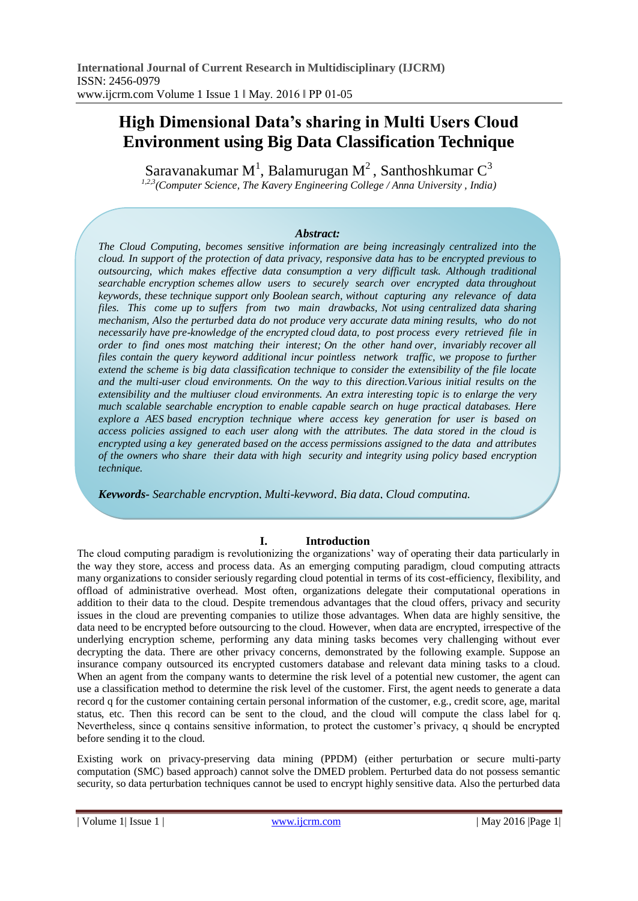# **High Dimensional Data's sharing in Multi Users Cloud Environment using Big Data Classification Technique**

Saravanakumar M $^1$ , Balamurugan M $^2$ , Santhoshkumar  $\text{C}^3$ *1,2,3(Computer Science, The Kavery Engineering College / Anna University , India)* 

### *Abstract:*

*The Cloud Computing, becomes sensitive information are being increasingly centralized into the cloud. In support of the protection of data privacy, responsive data has to be encrypted previous to outsourcing, which makes effective data consumption a very difficult task. Although traditional searchable encryption schemes allow users to securely search over encrypted data throughout keywords, these technique support only Boolean search, without capturing any relevance of data files. This come up to suffers from two main drawbacks, Not using centralized data sharing mechanism, Also the perturbed data do not produce very accurate data mining results, who do not necessarily have pre-knowledge of the encrypted cloud data, to post process every retrieved file in order to find ones most matching their interest; On the other hand over, invariably recover all files contain the query keyword additional incur pointless network traffic, we propose to further extend the scheme is big data classification technique to consider the extensibility of the file locate and the multi-user cloud environments. On the way to this direction.Various initial results on the extensibility and the multiuser cloud environments. An extra interesting topic is to enlarge the very much scalable searchable encryption to enable capable search on huge practical databases. Here explore a AES based encryption technique where access key generation for user is based on access policies assigned to each user along with the attributes. The data stored in the cloud is encrypted using a key generated based on the access permissions assigned to the data and attributes of the owners who share their data with high security and integrity using policy based encryption technique.*

*Keywords- Searchable encryption, Multi-keyword, Big data, Cloud computing.*

# **I. Introduction**

The cloud computing paradigm is revolutionizing the organizations' way of operating their data particularly in the way they store, access and process data. As an emerging computing paradigm, cloud computing attracts many organizations to consider seriously regarding cloud potential in terms of its cost-efficiency, flexibility, and offload of administrative overhead. Most often, organizations delegate their computational operations in addition to their data to the cloud. Despite tremendous advantages that the cloud offers, privacy and security issues in the cloud are preventing companies to utilize those advantages. When data are highly sensitive, the data need to be encrypted before outsourcing to the cloud. However, when data are encrypted, irrespective of the underlying encryption scheme, performing any data mining tasks becomes very challenging without ever decrypting the data. There are other privacy concerns, demonstrated by the following example. Suppose an insurance company outsourced its encrypted customers database and relevant data mining tasks to a cloud. When an agent from the company wants to determine the risk level of a potential new customer, the agent can use a classification method to determine the risk level of the customer. First, the agent needs to generate a data record q for the customer containing certain personal information of the customer, e.g., credit score, age, marital status, etc. Then this record can be sent to the cloud, and the cloud will compute the class label for q. Nevertheless, since q contains sensitive information, to protect the customer's privacy, q should be encrypted before sending it to the cloud.

Existing work on privacy-preserving data mining (PPDM) (either perturbation or secure multi-party computation (SMC) based approach) cannot solve the DMED problem. Perturbed data do not possess semantic security, so data perturbation techniques cannot be used to encrypt highly sensitive data. Also the perturbed data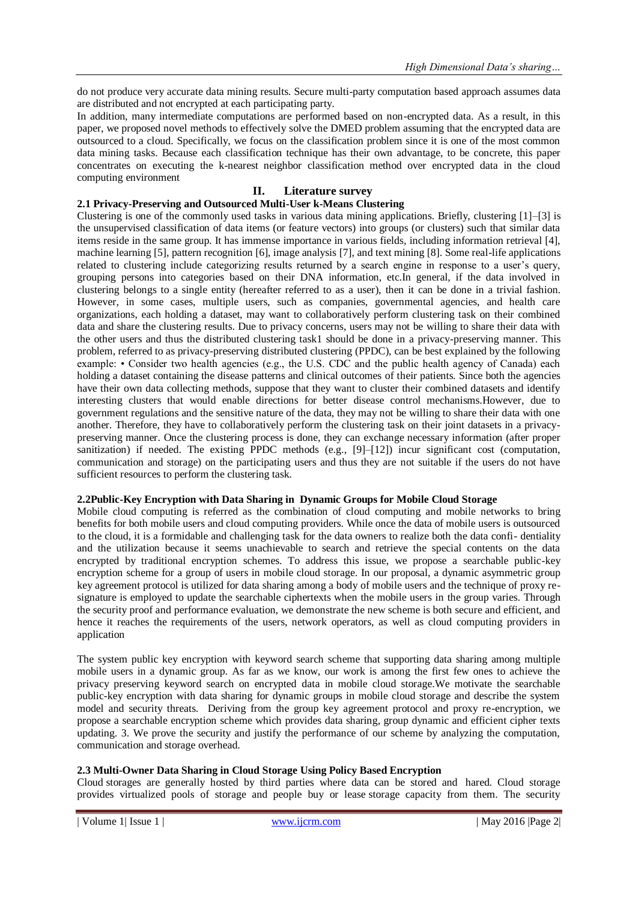do not produce very accurate data mining results. Secure multi-party computation based approach assumes data are distributed and not encrypted at each participating party.

In addition, many intermediate computations are performed based on non-encrypted data. As a result, in this paper, we proposed novel methods to effectively solve the DMED problem assuming that the encrypted data are outsourced to a cloud. Specifically, we focus on the classification problem since it is one of the most common data mining tasks. Because each classification technique has their own advantage, to be concrete, this paper concentrates on executing the k-nearest neighbor classification method over encrypted data in the cloud computing environment

## **II. Literature survey**

#### **2.1 Privacy-Preserving and Outsourced Multi-User k-Means Clustering**

Clustering is one of the commonly used tasks in various data mining applications. Briefly, clustering [1]–[3] is the unsupervised classification of data items (or feature vectors) into groups (or clusters) such that similar data items reside in the same group. It has immense importance in various fields, including information retrieval [4], machine learning [5], pattern recognition [6], image analysis [7], and text mining [8]. Some real-life applications related to clustering include categorizing results returned by a search engine in response to a user's query, grouping persons into categories based on their DNA information, etc.In general, if the data involved in clustering belongs to a single entity (hereafter referred to as a user), then it can be done in a trivial fashion. However, in some cases, multiple users, such as companies, governmental agencies, and health care organizations, each holding a dataset, may want to collaboratively perform clustering task on their combined data and share the clustering results. Due to privacy concerns, users may not be willing to share their data with the other users and thus the distributed clustering task1 should be done in a privacy-preserving manner. This problem, referred to as privacy-preserving distributed clustering (PPDC), can be best explained by the following example: • Consider two health agencies (e.g., the U.S. CDC and the public health agency of Canada) each holding a dataset containing the disease patterns and clinical outcomes of their patients. Since both the agencies have their own data collecting methods, suppose that they want to cluster their combined datasets and identify interesting clusters that would enable directions for better disease control mechanisms.However, due to government regulations and the sensitive nature of the data, they may not be willing to share their data with one another. Therefore, they have to collaboratively perform the clustering task on their joint datasets in a privacypreserving manner. Once the clustering process is done, they can exchange necessary information (after proper sanitization) if needed. The existing PPDC methods (e.g.,  $[9]-[12]$ ) incur significant cost (computation, communication and storage) on the participating users and thus they are not suitable if the users do not have sufficient resources to perform the clustering task.

#### **2.2Public-Key Encryption with Data Sharing in Dynamic Groups for Mobile Cloud Storage**

Mobile cloud computing is referred as the combination of cloud computing and mobile networks to bring benefits for both mobile users and cloud computing providers. While once the data of mobile users is outsourced to the cloud, it is a formidable and challenging task for the data owners to realize both the data confi- dentiality and the utilization because it seems unachievable to search and retrieve the special contents on the data encrypted by traditional encryption schemes. To address this issue, we propose a searchable public-key encryption scheme for a group of users in mobile cloud storage. In our proposal, a dynamic asymmetric group key agreement protocol is utilized for data sharing among a body of mobile users and the technique of proxy resignature is employed to update the searchable ciphertexts when the mobile users in the group varies. Through the security proof and performance evaluation, we demonstrate the new scheme is both secure and efficient, and hence it reaches the requirements of the users, network operators, as well as cloud computing providers in application

The system public key encryption with keyword search scheme that supporting data sharing among multiple mobile users in a dynamic group. As far as we know, our work is among the first few ones to achieve the privacy preserving keyword search on encrypted data in mobile cloud storage.We motivate the searchable public-key encryption with data sharing for dynamic groups in mobile cloud storage and describe the system model and security threats. Deriving from the group key agreement protocol and proxy re-encryption, we propose a searchable encryption scheme which provides data sharing, group dynamic and efficient cipher texts updating. 3. We prove the security and justify the performance of our scheme by analyzing the computation, communication and storage overhead.

# **2.3 Multi-Owner Data Sharing in Cloud Storage Using Policy Based Encryption**

Cloud storages are generally hosted by third parties where data can be stored and hared. Cloud storage provides virtualized pools of storage and people buy or lease storage capacity from them. The security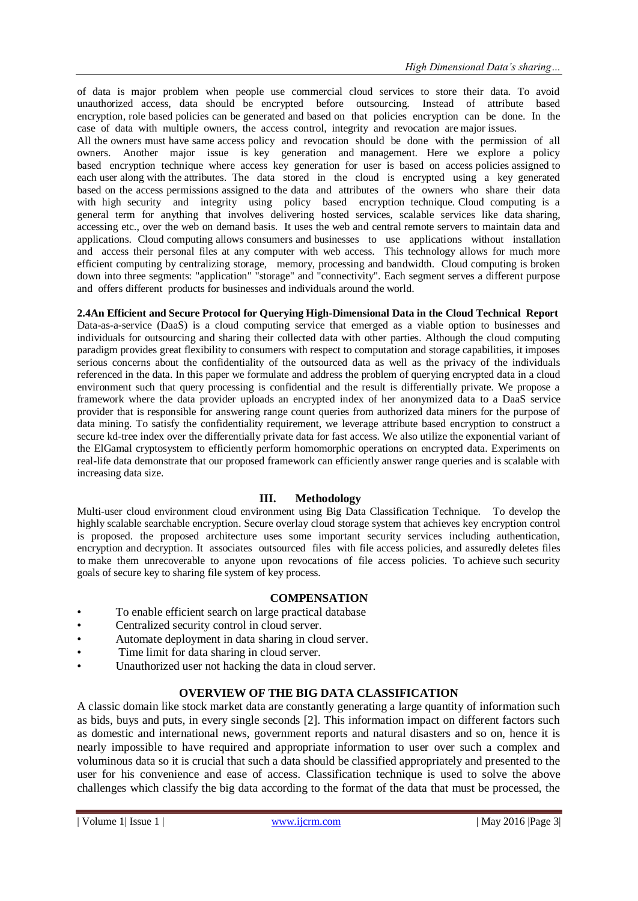of data is major problem when people use commercial cloud services to store their data. To avoid unauthorized access, data should be encrypted before outsourcing. Instead of attribute based encryption, role based policies can be generated and based on that policies encryption can be done. In the case of data with multiple owners, the access control, integrity and revocation are major issues.

All the owners must have same access policy and revocation should be done with the permission of all owners. Another major issue is key generation and management. Here we explore a policy based encryption technique where access key generation for user is based on access policies assigned to each user along with the attributes. The data stored in the cloud is encrypted using a key generated based on the access permissions assigned to the data and attributes of the owners who share their data with high security and integrity using policy based encryption technique. Cloud computing is a general term for anything that involves delivering hosted services, scalable services like data sharing, accessing etc., over the web on demand basis. It uses the web and central remote servers to maintain data and applications. Cloud computing allows consumers and businesses to use applications without installation and access their personal files at any computer with web access. This technology allows for much more efficient computing by centralizing storage, memory, processing and bandwidth. Cloud computing is broken down into three segments: "application" "storage" and "connectivity". Each segment serves a different purpose and offers different products for businesses and individuals around the world.

# **2.4An Efficient and Secure Protocol for Querying High-Dimensional Data in the Cloud Technical Report**

Data-as-a-service (DaaS) is a cloud computing service that emerged as a viable option to businesses and individuals for outsourcing and sharing their collected data with other parties. Although the cloud computing paradigm provides great flexibility to consumers with respect to computation and storage capabilities, it imposes serious concerns about the confidentiality of the outsourced data as well as the privacy of the individuals referenced in the data. In this paper we formulate and address the problem of querying encrypted data in a cloud environment such that query processing is confidential and the result is differentially private. We propose a framework where the data provider uploads an encrypted index of her anonymized data to a DaaS service provider that is responsible for answering range count queries from authorized data miners for the purpose of data mining. To satisfy the confidentiality requirement, we leverage attribute based encryption to construct a secure kd-tree index over the differentially private data for fast access. We also utilize the exponential variant of the ElGamal cryptosystem to efficiently perform homomorphic operations on encrypted data. Experiments on real-life data demonstrate that our proposed framework can efficiently answer range queries and is scalable with increasing data size.

# **III. Methodology**

Multi-user cloud environment cloud environment using Big Data Classification Technique. To develop the highly scalable searchable encryption. Secure overlay cloud storage system that achieves key encryption control is proposed. the proposed architecture uses some important security services including authentication, encryption and decryption. It associates outsourced files with file access policies, and assuredly deletes files to make them unrecoverable to anyone upon revocations of file access policies. To achieve such security goals of secure key to sharing file system of key process.

#### **COMPENSATION**

- To enable efficient search on large practical database
- Centralized security control in cloud server.
- Automate deployment in data sharing in cloud server.
- Time limit for data sharing in cloud server.
- Unauthorized user not hacking the data in cloud server.

# **OVERVIEW OF THE BIG DATA CLASSIFICATION**

A classic domain like stock market data are constantly generating a large quantity of information such as bids, buys and puts, in every single seconds [2]. This information impact on different factors such as domestic and international news, government reports and natural disasters and so on, hence it is nearly impossible to have required and appropriate information to user over such a complex and voluminous data so it is crucial that such a data should be classified appropriately and presented to the user for his convenience and ease of access. Classification technique is used to solve the above challenges which classify the big data according to the format of the data that must be processed, the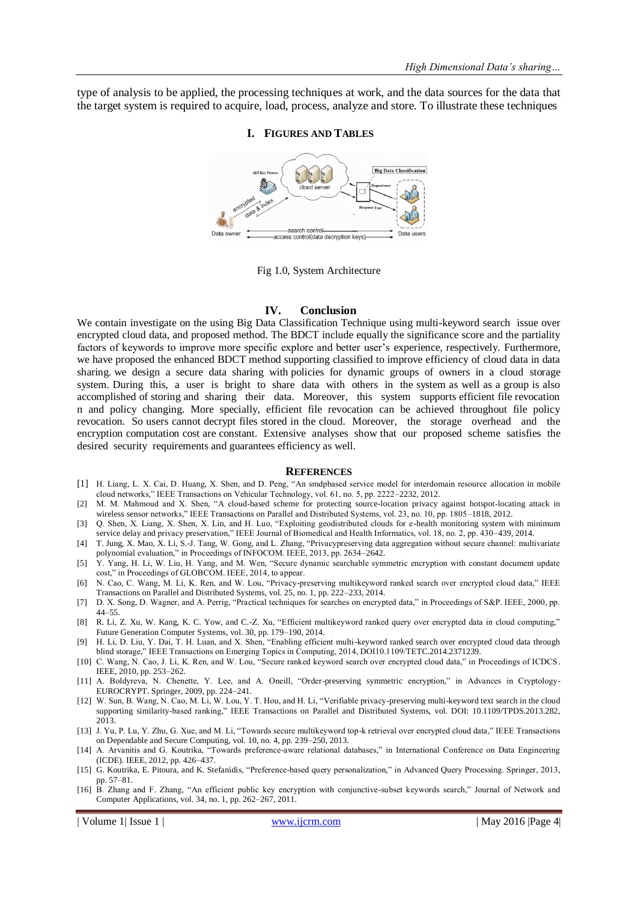type of analysis to be applied, the processing techniques at work, and the data sources for the data that the target system is required to acquire, load, process, analyze and store. To illustrate these techniques

### **I. FIGURES AND TABLES**



Fig 1.0, System Architecture

#### **IV. Conclusion**

We contain investigate on the using Big Data Classification Technique using multi-keyword search issue over encrypted cloud data, and proposed method. The BDCT include equally the significance score and the partiality factors of keywords to improve more specific explore and better user's experience, respectively. Furthermore, we have proposed the enhanced BDCT method supporting classified to improve efficiency of cloud data in data sharing. we design a secure data sharing with policies for dynamic groups of owners in a cloud storage system. During this, a user is bright to share data with others in the system as well as a group is also accomplished of storing and sharing their data. Moreover, this system supports efficient file revocation n and policy changing. More specially, efficient file revocation can be achieved throughout file policy revocation. So users cannot decrypt files stored in the cloud. Moreover, the storage overhead and the encryption computation cost are constant. Extensive analyses show that our proposed scheme satisfies the desired security requirements and guarantees efficiency as well.

#### **REFERENCES**

- [1] H. Liang, L. X. Cai, D. Huang, X. Shen, and D. Peng, "An smdpbased service model for interdomain resource allocation in mobile cloud networks," IEEE Transactions on Vehicular Technology, vol. 61, no. 5, pp. 2222–2232, 2012.
- [2] M. M. Mahmoud and X. Shen, "A cloud-based scheme for protecting source-location privacy against hotspot-locating attack in wireless sensor networks," IEEE Transactions on Parallel and Distributed Systems, vol. 23, no. 10, pp. 1805–1818, 2012.
- [3] Q. Shen, X. Liang, X. Shen, X. Lin, and H. Luo, "Exploiting geodistributed clouds for e-health monitoring system with minimum service delay and privacy preservation," IEEE Journal of Biomedical and Health Informatics, vol. 18, no. 2, pp. 430–439, 2014.
- [4] T. Jung, X. Mao, X. Li, S.-J. Tang, W. Gong, and L. Zhang, "Privacypreserving data aggregation without secure channel: multivariate polynomial evaluation," in Proceedings of INFOCOM. IEEE, 2013, pp. 2634–2642.
- [5] Y. Yang, H. Li, W. Liu, H. Yang, and M. Wen, "Secure dynamic searchable symmetric encryption with constant document update cost," in Proceedings of GLOBCOM. IEEE, 2014, to appear.
- [6] N. Cao, C. Wang, M. Li, K. Ren, and W. Lou, "Privacy-preserving multikeyword ranked search over encrypted cloud data," IEEE Transactions on Parallel and Distributed Systems, vol. 25, no. 1, pp. 222–233, 2014.
- [7] D. X. Song, D. Wagner, and A. Perrig, "Practical techniques for searches on encrypted data," in Proceedings of S&P. IEEE, 2000, pp. 44–55.
- [8] R. Li, Z. Xu, W. Kang, K. C. Yow, and C.-Z. Xu, "Efficient multikeyword ranked query over encrypted data in cloud computing," Future Generation Computer Systems, vol. 30, pp. 179–190, 2014.
- [9] H. Li, D. Liu, Y. Dai, T. H. Luan, and X. Shen, "Enabling efficient multi-keyword ranked search over encrypted cloud data through blind storage," IEEE Transactions on Emerging Topics in Computing, 2014, DOI10.1109/TETC.2014.2371239.
- [10] C. Wang, N. Cao, J. Li, K. Ren, and W. Lou, "Secure ranked keyword search over encrypted cloud data," in Proceedings of ICDCS. IEEE, 2010, pp. 253–262.
- [11] A. Boldyreva, N. Chenette, Y. Lee, and A. Oneill, "Order-preserving symmetric encryption," in Advances in Cryptology-EUROCRYPT. Springer, 2009, pp. 224–241.
- [12] W. Sun, B. Wang, N. Cao, M. Li, W. Lou, Y. T. Hou, and H. Li, "Verifiable privacy-preserving multi-keyword text search in the cloud supporting similarity-based ranking," IEEE Transactions on Parallel and Distributed Systems, vol. DOI: 10.1109/TPDS.2013.282, 2013.
- [13] J. Yu, P. Lu, Y. Zhu, G. Xue, and M. Li, "Towards secure multikeyword top-k retrieval over encrypted cloud data," IEEE Transactions on Dependable and Secure Computing, vol. 10, no. 4, pp. 239–250, 2013.
- [14] A. Arvanitis and G. Koutrika, "Towards preference-aware relational databases," in International Conference on Data Engineering (ICDE). IEEE, 2012, pp. 426–437.
- [15] G. Koutrika, E. Pitoura, and K. Stefanidis, "Preference-based query personalization," in Advanced Query Processing. Springer, 2013, pp. 57–81.
- [16] B. Zhang and F. Zhang, "An efficient public key encryption with conjunctive-subset keywords search," Journal of Network and Computer Applications, vol. 34, no. 1, pp. 262–267, 2011.